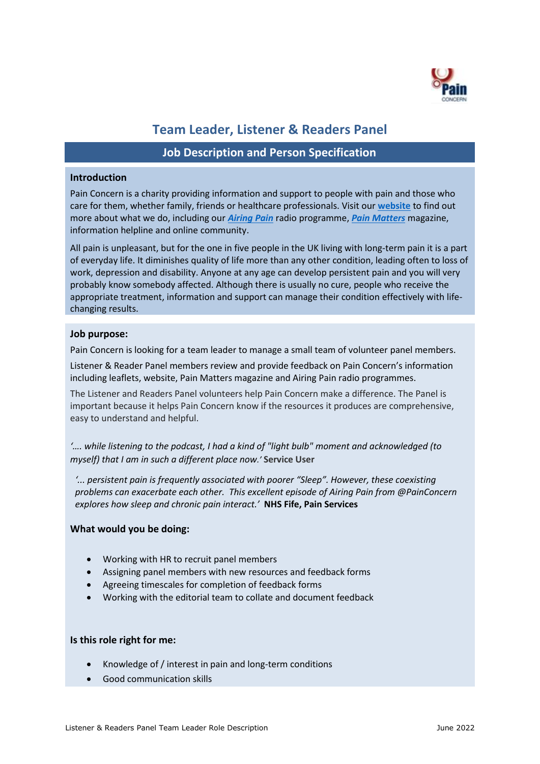

# **Team Leader, Listener & Readers Panel**

## **Job Description and Person Specification**

#### **Introduction**

Pain Concern is a charity providing information and support to people with pain and those who care for them, whether family, friends or healthcare professionals. Visit our **[website](http://painconcern.org.uk/how-we-help/pain-matters-magazine/)** to find out more about what we do, including our *[Airing Pain](http://painconcern.org.uk/how-we-help/airing-pain/)* radio programme, *[Pain Matters](http://painconcern.org.uk/how-we-help/pain-matters-magazine/)* magazine, information helpline and online community.

All pain is unpleasant, but for the one in five people in the UK living with long-term pain it is a part of everyday life. It diminishes quality of life more than any other condition, leading often to loss of work, depression and disability. Anyone at any age can develop persistent pain and you will very probably know somebody affected. Although there is usually no cure, people who receive the appropriate treatment, information and support can manage their condition effectively with lifechanging results.

#### **Job purpose:**

Pain Concern is looking for a team leader to manage a small team of volunteer panel members.

Listener & Reader Panel members review and provide feedback on Pain Concern's information including leaflets, website, Pain Matters magazine and Airing Pain radio programmes.

The Listener and Readers Panel volunteers help Pain Concern make a difference. The Panel is important because it helps Pain Concern know if the resources it produces are comprehensive, easy to understand and helpful.

*'…. while listening to the podcast, I had a kind of "light bulb" moment and acknowledged (to myself) that I am in such a different place now.'* **Service User** 

*'... persistent pain is frequently associated with poorer "Sleep". However, these coexisting problems can exacerbate each other. This excellent episode of Airing Pain from @PainConcern explores how sleep and chronic pain interact.'* **NHS Fife, Pain Services**

#### **What would you be doing:**

- Working with HR to recruit panel members
- Assigning panel members with new resources and feedback forms
- Agreeing timescales for completion of feedback forms
- Working with the editorial team to collate and document feedback

#### **Is this role right for me:**

- Knowledge of / interest in pain and long-term conditions
- Good communication skills